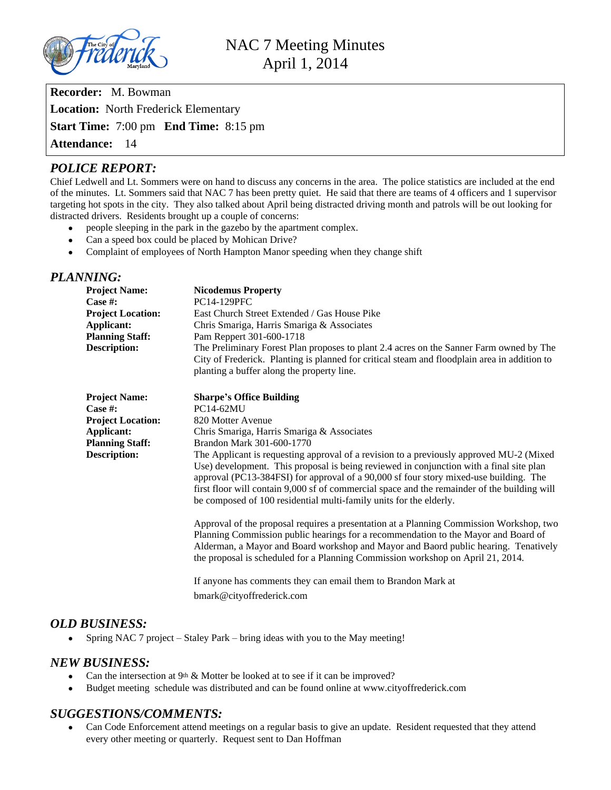

**Recorder:** M. Bowman **Location:** North Frederick Elementary **Start Time:** 7:00 pm **End Time:** 8:15 pm **Attendance:** 14

# *POLICE REPORT:*

Chief Ledwell and Lt. Sommers were on hand to discuss any concerns in the area. The police statistics are included at the end of the minutes. Lt. Sommers said that NAC 7 has been pretty quiet. He said that there are teams of 4 officers and 1 supervisor targeting hot spots in the city. They also talked about April being distracted driving month and patrols will be out looking for distracted drivers. Residents brought up a couple of concerns:

- people sleeping in the park in the gazebo by the apartment complex.
- Can a speed box could be placed by Mohican Drive?
- Complaint of employees of North Hampton Manor speeding when they change shift

## *PLANNING:*

| <b>Project Name:</b>     | <b>Nicodemus Property</b>                                                                    |
|--------------------------|----------------------------------------------------------------------------------------------|
| Case #:                  | <b>PC14-129PFC</b>                                                                           |
| <b>Project Location:</b> | East Church Street Extended / Gas House Pike                                                 |
| Applicant:               | Chris Smariga, Harris Smariga & Associates                                                   |
| <b>Planning Staff:</b>   | Pam Reppert 301-600-1718                                                                     |
| <b>Description:</b>      | The Preliminary Forest Plan proposes to plant 2.4 acres on the Sanner Farm owned by The      |
|                          | City of Frederick. Planting is planned for critical steam and floodplain area in addition to |
|                          | planting a buffer along the property line.                                                   |

| <b>Project Name:</b><br>Case #: | <b>Sharpe's Office Building</b><br><b>PC14-62MU</b>                                                                                                                                                                                                                                                                                                                                                                                                |
|---------------------------------|----------------------------------------------------------------------------------------------------------------------------------------------------------------------------------------------------------------------------------------------------------------------------------------------------------------------------------------------------------------------------------------------------------------------------------------------------|
|                                 |                                                                                                                                                                                                                                                                                                                                                                                                                                                    |
| <b>Project Location:</b>        | 820 Motter Avenue                                                                                                                                                                                                                                                                                                                                                                                                                                  |
| Applicant:                      | Chris Smariga, Harris Smariga & Associates                                                                                                                                                                                                                                                                                                                                                                                                         |
| <b>Planning Staff:</b>          | Brandon Mark 301-600-1770                                                                                                                                                                                                                                                                                                                                                                                                                          |
| Description:                    | The Applicant is requesting approval of a revision to a previously approved MU-2 (Mixed)<br>Use) development. This proposal is being reviewed in conjunction with a final site plan<br>approval (PC13-384FSI) for approval of a 90,000 sf four story mixed-use building. The<br>first floor will contain 9,000 sf of commercial space and the remainder of the building will<br>be composed of 100 residential multi-family units for the elderly. |
|                                 | Approval of the proposal requires a presentation at a Planning Commission Workshop, two<br>Planning Commission public hearings for a recommendation to the Mayor and Board of<br>Alderman, a Mayor and Board workshop and Mayor and Baord public hearing. Tenatively<br>the proposal is scheduled for a Planning Commission workshop on April 21, 2014.                                                                                            |

If anyone has comments they can email them to Brandon Mark at bmark@cityoffrederick.com

## *OLD BUSINESS:*

• Spring NAC 7 project – Staley Park – bring ideas with you to the May meeting!

## *NEW BUSINESS:*

- Can the intersection at 9<sup>th</sup> & Motter be looked at to see if it can be improved?
- Budget meeting schedule was distributed and can be found online at www.cityoffrederick.com

## *SUGGESTIONS/COMMENTS:*

• Can Code Enforcement attend meetings on a regular basis to give an update. Resident requested that they attend every other meeting or quarterly. Request sent to Dan Hoffman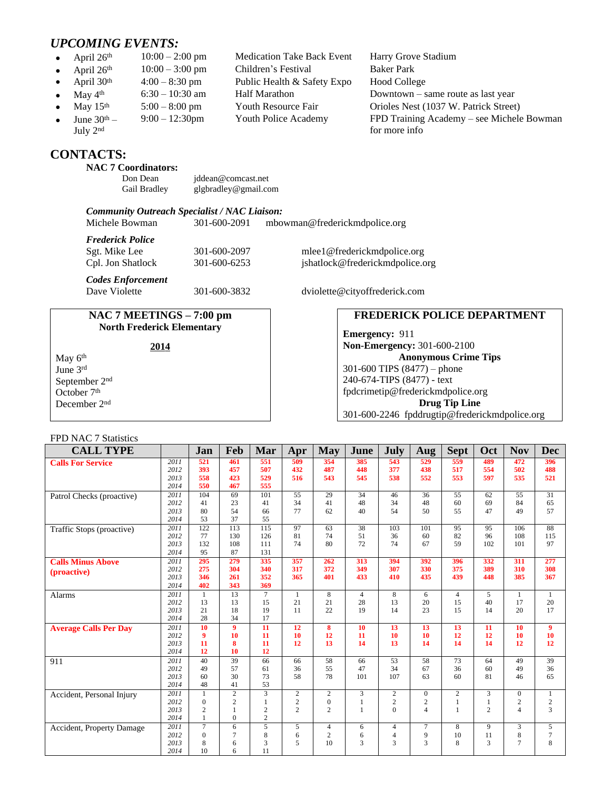# *UPCOMING EVENTS:*

- 
- April  $26^{th}$  10:00 3:00 pm<br>April 30<sup>th</sup> 4:00 8:30 pm
- 
- 
- 
- June  $30<sup>th</sup>$  July 2nd

# **CONTACTS:**

#### **NAC 7 Coordinators:**

| Don Dean     | jddean@comcast.net   |
|--------------|----------------------|
| Gail Bradley | glgbradley@gmail.com |

#### *Community Outreach Specialist / NAC Liaison:*

Michele Bowman 301-600-2091 [mbowman@frederickmdpolice.org](mailto:mbowman@frederickmdpolice.org)

*Frederick Police*

*Codes Enforcement*

#### **NAC 7 MEETINGS – 7:00 pm North Frederick Elementary**

May 6<sup>th</sup> June 3rd September 2nd October 7<sup>th</sup> December 2nd

# Sgt. Mike Lee 301-600-2097 [mlee1@frederickmdpolice.org](mailto:mlee1@frederickmdpolice.org) Cpl. Jon Shatlock 301-600-6253 jshatlock@frederickmdpolice.org

301-600-3832 dviolette@cityoffrederick.com

## **FREDERICK POLICE DEPARTMENT**

**Emergency:** 911 **Non-Emergency:** 301-600-2100 **Anonymous Crime Tips** 301-600 TIPS (8477) – phone 240-674-TIPS (8477) - text [fpdcrimetip@frederickmdpolice.org](mailto:fpdcrimetip@frederickmdpolice.org) **Drug Tip Line** 301-600-2246 fpddrugtip@frederickmdpolice.org

#### FPD NAC 7 Statistics

| <b>CALL TYPE</b>             |              | Jan                    | Feb            | Mar                   | Apr            | <b>May</b>       | June            | July           | Aug              | <b>Sept</b>     | Oct            | <b>Nov</b>      | <b>Dec</b>       |
|------------------------------|--------------|------------------------|----------------|-----------------------|----------------|------------------|-----------------|----------------|------------------|-----------------|----------------|-----------------|------------------|
| <b>Calls For Service</b>     | 2011         | 521                    | 461            | 551                   | 509            | 354              | 385             | 543            | 529              | 559             | 489            | 472             | 396              |
|                              | 2012         | 393                    | 457            | 507                   | 432            | 487              | 448             | 377            | 438              | 517             | 554            | 502             | 488              |
|                              | 2013         | 558                    | 423            | 529                   | 516            | 543              | 545             | 538            | 552              | 553             | 597            | 535             | 521              |
|                              | 2014         | 550                    | 467            | 555                   |                |                  |                 |                |                  |                 |                |                 |                  |
| Patrol Checks (proactive)    | 2011         | 104                    | 69             | 101                   | 55             | 29               | $\overline{34}$ | 46             | 36               | $\overline{55}$ | 62             | $\overline{55}$ | $\overline{31}$  |
|                              | 2012         | 41                     | 23             | 41                    | 34             | 41               | 48              | 34             | 48               | 60              | 69             | 84              | 65               |
|                              | 2013         | 80                     | 54             | 66                    | 77             | 62               | 40              | 54             | 50               | 55              | 47             | 49              | 57               |
|                              | 2014         | 53                     | 37             | 55                    |                |                  |                 |                |                  |                 |                |                 |                  |
| Traffic Stops (proactive)    | 2011         | 122                    | 113            | 115                   | 97             | 63               | 38              | 103            | 101              | 95              | 95             | 106             | 88               |
|                              | 2012         | 77                     | 130            | 126                   | 81             | 74               | 51              | 36             | 60               | 82              | 96             | 108             | 115              |
|                              | 2013         | 132                    | 108            | 111                   | 74             | 80               | 72              | 74             | 67               | 59              | 102            | 101             | 97               |
|                              | 2014         | 95                     | 87             | 131                   |                |                  |                 |                |                  |                 |                |                 |                  |
| <b>Calls Minus Above</b>     | 2011         | 295                    | 279            | 335                   | 357            | 262              | 313             | 394            | 392              | 396             | 332            | 311             | 277              |
| (proactive)                  | 2012         | 275                    | 304            | 340                   | 317            | 372              | 349             | 307            | 330              | 375             | 389            | 310             | 308              |
|                              | 2013         | 346                    | 261            | 352                   | 365            | 401              | 433             | 410            | 435              | 439             | 448            | 385             | 367              |
|                              | 2014         | 402                    | 343            | 369                   |                |                  |                 |                |                  |                 |                |                 |                  |
| <b>Alarms</b>                | 2011         | 1                      | 13             | $\tau$                | $\mathbf{1}$   | 8                | $\overline{4}$  | 8              | 6                | $\overline{4}$  | 5              | $\mathbf{1}$    | 1                |
|                              | 2012         | 13                     | 13             | 15                    | 21             | 21               | 28              | 13             | 20               | 15              | 40             | 17              | 20               |
|                              | 2013<br>2014 | 21<br>28               | 18<br>34       | 19<br>17              | 11             | 22               | 19              | 14             | 23               | 15              | 14             | 20              | 17               |
|                              |              |                        | 9              |                       |                |                  |                 |                |                  |                 |                |                 |                  |
| <b>Average Calls Per Day</b> | 2011<br>2012 | 10<br>$\boldsymbol{9}$ | 10             | $\overline{11}$<br>11 | 12<br>10       | 8<br>12          | 10<br>11        | 13<br>10       | 13<br>10         | 13<br>12        | 11             | 10<br>10        | 9<br>10          |
|                              | 2013         | 11                     | 8              | 11                    | 12             | 13               | 14              | 13             | 14               | 14              | 12<br>14       | 12              | 12               |
|                              | 2014         | 12                     | 10             | 12                    |                |                  |                 |                |                  |                 |                |                 |                  |
| 911                          | 2011         | 40                     | 39             | 66                    | 66             | 58               | 66              | 53             | 58               | 73              | 64             | 49              | 39               |
|                              | 2012         | 49                     | 57             | 61                    | 36             | 55               | 47              | 34             | 67               | 36              | 60             | 49              | 36               |
|                              | 2013         | 60                     | 30             | 73                    | 58             | 78               | 101             | 107            | 63               | 60              | 81             | 46              | 65               |
|                              | 2014         | 48                     | 41             | 53                    |                |                  |                 |                |                  |                 |                |                 |                  |
| Accident, Personal Injury    | 2011         | $\mathbf{1}$           | $\overline{c}$ | $\overline{3}$        | $\overline{c}$ | 2                | 3               | $\overline{2}$ | $\boldsymbol{0}$ | $\overline{c}$  | 3              | $\overline{0}$  | $\mathbf{1}$     |
|                              | 2012         | $\mathbf{0}$           | $\overline{c}$ | $\mathbf{1}$          | $\overline{c}$ | $\boldsymbol{0}$ | $\mathbf{1}$    | $\overline{c}$ | $\mathbf{2}$     | 1               | $\mathbf{1}$   | $\overline{c}$  | $\sqrt{2}$       |
|                              | 2013         | $\overline{c}$         | $\mathbf{1}$   | $\overline{c}$        | $\overline{c}$ | $\overline{2}$   | $\mathbf{1}$    | $\Omega$       | $\overline{4}$   | 1               | $\overline{c}$ | $\overline{4}$  | 3                |
|                              | 2014         | $\mathbf{1}$           | $\Omega$       | $\overline{2}$        |                |                  |                 |                |                  |                 |                |                 |                  |
| Accident, Property Damage    | 2011         | $7\phantom{.0}$        | 6              | 5                     | 5              | $\overline{4}$   | 6               | 4              | $7\phantom{.0}$  | 8               | 9              | 3               | 5                |
|                              | 2012         | $\Omega$               | $\overline{7}$ | 8                     | 6              | $\overline{2}$   | 6               | $\overline{4}$ | 9                | 10              | 11             | 8               | $\boldsymbol{7}$ |
|                              | 2013         | 8                      | 6              | 3                     | 5              | 10               | 3               | 3              | 3                | 8               | 3              | 7               | 8                |
|                              | 2014         | 10                     | 6              | 11                    |                |                  |                 |                |                  |                 |                |                 |                  |

| April 26th    | $10:00 - 2:00$ pm | <b>Medication Take Back Event</b> | Harry Grove Stadium  |
|---------------|-------------------|-----------------------------------|----------------------|
| April 26th    | $10:00 - 3:00$ pm | Children's Festival               | <b>Baker Park</b>    |
| April $30th$  | $4:00 - 8:30$ pm  | Public Health & Safety Expo       | <b>Hood College</b>  |
| May $4th$     | $6:30 - 10:30$ am | <b>Half Marathon</b>              | Downtown – same rou  |
| May $15th$    | $5:00 - 8:00$ pm  | <b>Youth Resource Fair</b>        | Orioles Nest (1037 W |
| June $30th$ – | $9:00 - 12:30$ pm | Youth Police Academy              | FPD Training Acaden  |

May  $4^{\text{th}}$  6:30 – 10:30 am Half Marathon Downtown – same route as last year<br>May  $15^{\text{th}}$  5:00 – 8:00 pm Youth Resource Fair Orioles Nest (1037 W. Patrick Street Orioles Nest (1037 W. Patrick Street) 9:00 – 12:30pm Youth Police Academy FPD Training Academy – see Michele Bowman for more info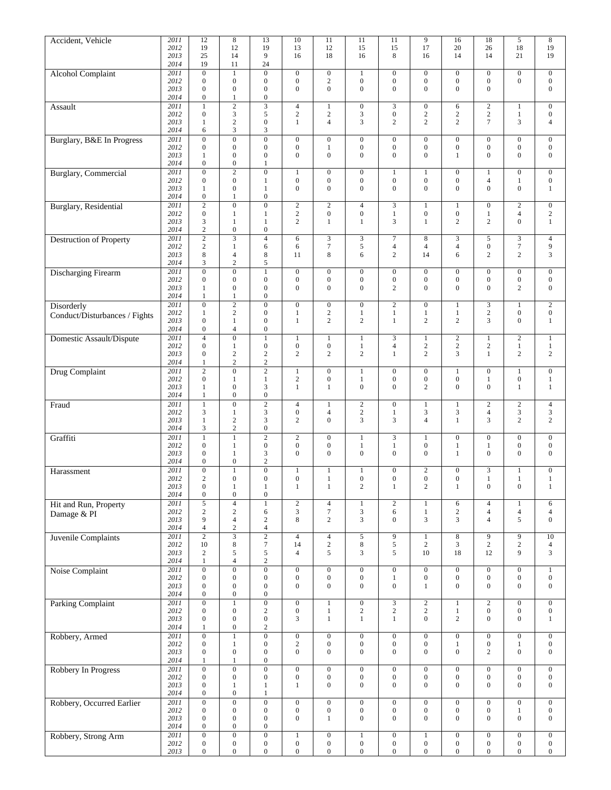| Accident, Vehicle              | 2011         | 12                                   | $\,$ 8 $\,$                          | 13                                   | 10                                   | 11                                   | 11                                 | 11                                   | 9                                    | 16                                   | $\overline{18}$                      | 5                                    | $\bf 8$                              |
|--------------------------------|--------------|--------------------------------------|--------------------------------------|--------------------------------------|--------------------------------------|--------------------------------------|------------------------------------|--------------------------------------|--------------------------------------|--------------------------------------|--------------------------------------|--------------------------------------|--------------------------------------|
|                                | 2012         | 19                                   | 12                                   | 19                                   | 13                                   | 12                                   | 15                                 | 15                                   | 17                                   | 20                                   | 26                                   | 18                                   | 19                                   |
|                                | 2013         | 25                                   | 14                                   | 9                                    | 16                                   | 18                                   | 16                                 | 8                                    | 16                                   | 14                                   | 14                                   | 21                                   | 19                                   |
|                                | 2014<br>2011 | 19<br>$\overline{0}$                 | 11                                   | 24<br>$\overline{0}$                 |                                      | $\overline{0}$                       |                                    | $\overline{0}$                       |                                      |                                      |                                      |                                      |                                      |
| <b>Alcohol Complaint</b>       | 2012         | $\boldsymbol{0}$                     | $\mathbf{1}$<br>$\boldsymbol{0}$     | $\boldsymbol{0}$                     | $\boldsymbol{0}$<br>$\boldsymbol{0}$ | $\sqrt{2}$                           | $\mathbf{1}$<br>$\boldsymbol{0}$   | $\boldsymbol{0}$                     | $\boldsymbol{0}$<br>$\boldsymbol{0}$ | $\boldsymbol{0}$<br>$\boldsymbol{0}$ | $\boldsymbol{0}$<br>$\boldsymbol{0}$ | $\boldsymbol{0}$<br>$\boldsymbol{0}$ | $\boldsymbol{0}$<br>$\boldsymbol{0}$ |
|                                | 2013         | $\overline{0}$                       | $\boldsymbol{0}$                     | $\boldsymbol{0}$                     | $\mathbf{0}$                         | $\overline{0}$                       | $\boldsymbol{0}$                   | $\boldsymbol{0}$                     | $\mathbf{0}$                         | $\mathbf{0}$                         | $\overline{0}$                       |                                      | $\mathbf{0}$                         |
|                                | 2014         | $\boldsymbol{0}$                     | 1                                    | $\boldsymbol{0}$                     |                                      |                                      |                                    |                                      |                                      |                                      |                                      |                                      |                                      |
| Assault                        | 2011         | 1                                    | $\overline{2}$                       | $\overline{3}$                       | $\overline{4}$                       | 1                                    | $\boldsymbol{0}$                   | 3                                    | $\boldsymbol{0}$                     | 6                                    | $\sqrt{2}$                           | 1                                    | $\boldsymbol{0}$                     |
|                                | 2012         | $\mathbf{0}$                         | 3                                    | 5                                    | $\overline{2}$                       | $\mathbf{2}$                         | 3                                  | $\boldsymbol{0}$                     | $\sqrt{2}$                           | $\overline{c}$                       | $\sqrt{2}$                           | $\mathbf{1}$                         | $\boldsymbol{0}$                     |
|                                | 2013         | 1                                    | $\sqrt{2}$                           | $\boldsymbol{0}$                     | 1                                    | $\overline{4}$                       | 3                                  | $\overline{c}$                       | $\mathbf{2}$                         | $\overline{c}$                       | $\overline{7}$                       | 3                                    | $\overline{4}$                       |
|                                | 2014<br>2011 | 6<br>$\overline{0}$                  | 3<br>$\overline{0}$                  | $\mathfrak{Z}$<br>$\overline{0}$     | $\boldsymbol{0}$                     | $\mathbf{0}$                         | $\boldsymbol{0}$                   | $\boldsymbol{0}$                     | $\boldsymbol{0}$                     | $\boldsymbol{0}$                     | $\boldsymbol{0}$                     | $\boldsymbol{0}$                     |                                      |
| Burglary, B&E In Progress      | 2012         | $\boldsymbol{0}$                     | $\boldsymbol{0}$                     | $\boldsymbol{0}$                     | $\boldsymbol{0}$                     | $\mathbf{1}$                         | $\boldsymbol{0}$                   | $\boldsymbol{0}$                     | $\boldsymbol{0}$                     | $\boldsymbol{0}$                     | $\boldsymbol{0}$                     | 0                                    | $\boldsymbol{0}$<br>$\boldsymbol{0}$ |
|                                | 2013         | 1                                    | $\mathbf{0}$                         | $\boldsymbol{0}$                     | $\boldsymbol{0}$                     | $\mathbf{0}$                         | $\boldsymbol{0}$                   | $\overline{0}$                       | $\mathbf{0}$                         | $\mathbf{1}$                         | $\overline{0}$                       | $\overline{0}$                       | $\boldsymbol{0}$                     |
|                                | 2014         | $\boldsymbol{0}$                     | $\boldsymbol{0}$                     | 1                                    |                                      |                                      |                                    |                                      |                                      |                                      |                                      |                                      |                                      |
| <b>Burglary</b> , Commercial   | 2011         | $\boldsymbol{0}$                     | $\overline{2}$                       | $\boldsymbol{0}$                     | $\mathbf{1}$                         | $\mathbf{0}$                         | $\boldsymbol{0}$                   | $\mathbf{1}$                         | $\mathbf{1}$                         | $\boldsymbol{0}$                     | 1                                    | $\boldsymbol{0}$                     | $\boldsymbol{0}$                     |
|                                | 2012         | $\mathbf{0}$                         | $\boldsymbol{0}$                     | $\mathbf{1}$                         | $\boldsymbol{0}$                     | $\boldsymbol{0}$                     | $\boldsymbol{0}$                   | $\boldsymbol{0}$                     | $\boldsymbol{0}$                     | $\boldsymbol{0}$                     | $\overline{4}$                       | 1                                    | $\boldsymbol{0}$                     |
|                                | 2013         | 1                                    | $\boldsymbol{0}$                     | $\mathbf{1}$                         | $\mathbf{0}$                         | $\mathbf{0}$                         | $\boldsymbol{0}$                   | $\overline{0}$                       | $\mathbf{0}$                         | $\mathbf{0}$                         | $\overline{0}$                       | $\boldsymbol{0}$                     | 1                                    |
|                                | 2014         | $\boldsymbol{0}$                     | $\mathbf{1}$                         | $\boldsymbol{0}$                     |                                      |                                      |                                    |                                      |                                      |                                      |                                      |                                      |                                      |
| <b>Burglary</b> , Residential  | 2011         | $\overline{2}$                       | $\mathbf{0}$<br>$\mathbf{1}$         | $\overline{0}$                       | $\mathbf{2}$<br>$\sqrt{2}$           | $\mathbf{2}$<br>$\boldsymbol{0}$     | $\overline{4}$                     | 3                                    | $\mathbf{1}$                         | $\mathbf{1}$                         | $\boldsymbol{0}$                     | $\overline{2}$                       | $\mathbf{0}$                         |
|                                | 2012<br>2013 | $\boldsymbol{0}$<br>3                | $\mathbf{1}$                         | $\mathbf{1}$<br>$\mathbf{1}$         | $\mathbf{2}$                         | $\mathbf{1}$                         | $\boldsymbol{0}$<br>$\mathbf{1}$   | $\mathbf{1}$<br>3                    | $\boldsymbol{0}$<br>$\mathbf{1}$     | $\boldsymbol{0}$<br>$\overline{c}$   | $\mathbf{1}$<br>$\overline{c}$       | 4<br>$\boldsymbol{0}$                | $\overline{c}$<br>$\mathbf{1}$       |
|                                | 2014         | $\overline{c}$                       | $\boldsymbol{0}$                     | $\boldsymbol{0}$                     |                                      |                                      |                                    |                                      |                                      |                                      |                                      |                                      |                                      |
| <b>Destruction of Property</b> | 2011         | $\sqrt{2}$                           | $\overline{3}$                       | $\overline{4}$                       | 6                                    | 3                                    | $\mathfrak{Z}$                     | $\tau$                               | 8                                    | $\mathfrak{Z}$                       | 5                                    | 3                                    | $\overline{4}$                       |
|                                | 2012         | $\overline{c}$                       | $\mathbf{1}$                         | $\sqrt{6}$                           | 6                                    | $\boldsymbol{7}$                     | $\sqrt{5}$                         | 4                                    | $\overline{4}$                       | $\overline{4}$                       | $\boldsymbol{0}$                     | $\tau$                               | $\overline{9}$                       |
|                                | 2013         | 8                                    | $\overline{4}$                       | 8                                    | 11                                   | 8                                    | 6                                  | 2                                    | 14                                   | 6                                    | $\overline{c}$                       | 2                                    | 3                                    |
|                                | 2014         | 3                                    | $\sqrt{2}$                           | 5                                    |                                      |                                      |                                    |                                      |                                      |                                      |                                      |                                      |                                      |
| <b>Discharging Firearm</b>     | 2011         | $\overline{0}$                       | $\overline{0}$                       | $\overline{1}$                       | $\boldsymbol{0}$                     | $\mathbf{0}$                         | $\mathbf{0}$                       | $\boldsymbol{0}$                     | $\boldsymbol{0}$                     | $\boldsymbol{0}$                     | $\boldsymbol{0}$                     | $\overline{0}$                       | $\mathbf{0}$                         |
|                                | 2012         | $\boldsymbol{0}$                     | $\boldsymbol{0}$                     | $\boldsymbol{0}$                     | $\boldsymbol{0}$                     | $\boldsymbol{0}$                     | $\boldsymbol{0}$                   | $\boldsymbol{0}$                     | $\boldsymbol{0}$                     | $\boldsymbol{0}$<br>$\mathbf{0}$     | $\boldsymbol{0}$                     | 0                                    | $\boldsymbol{0}$                     |
|                                | 2013<br>2014 | $\mathbf{1}$<br>1                    | $\boldsymbol{0}$<br>$\mathbf{1}$     | $\boldsymbol{0}$<br>$\boldsymbol{0}$ | $\boldsymbol{0}$                     | $\mathbf{0}$                         | $\boldsymbol{0}$                   | $\overline{c}$                       | $\boldsymbol{0}$                     |                                      | $\boldsymbol{0}$                     | 2                                    | $\mathbf{0}$                         |
| Disorderly                     | 2011         | $\overline{0}$                       | $\sqrt{2}$                           | $\mathbf{0}$                         | $\boldsymbol{0}$                     | $\boldsymbol{0}$                     | $\boldsymbol{0}$                   | $\overline{c}$                       | $\boldsymbol{0}$                     | $\mathbf{1}$                         | $\sqrt{3}$                           | $\mathbf{1}$                         | $\sqrt{2}$                           |
|                                | 2012         | 1                                    | $\mathbf{2}$                         | $\boldsymbol{0}$                     | 1                                    | $\overline{c}$                       | $\mathbf{1}$                       | 1                                    | $\mathbf{1}$                         | $\mathbf{1}$                         | $\sqrt{2}$                           | 0                                    | $\boldsymbol{0}$                     |
| Conduct/Disturbances / Fights  | 2013         | $\boldsymbol{0}$                     | $\mathbf{1}$                         | $\boldsymbol{0}$                     | $\mathbf{1}$                         | 2                                    | $\mathbf{2}$                       | $\mathbf{1}$                         | $\mathbf{2}$                         | $\overline{c}$                       | 3                                    | $\boldsymbol{0}$                     | $\mathbf{1}$                         |
|                                | 2014         | $\boldsymbol{0}$                     | $\overline{4}$                       | $\boldsymbol{0}$                     |                                      |                                      |                                    |                                      |                                      |                                      |                                      |                                      |                                      |
| Domestic Assault/Dispute       | 2011         | $\overline{4}$                       | $\overline{0}$                       | $\overline{1}$                       | $\mathbf{1}$                         | $\mathbf{1}$                         | $\overline{1}$                     | $\overline{3}$                       | $\,1\,$                              | $\overline{2}$                       | $\mathbf{1}$                         | $\overline{2}$                       | $\mathbf{1}$                         |
|                                | 2012         | $\boldsymbol{0}$                     | $\mathbf{1}$                         | $\boldsymbol{0}$                     | $\boldsymbol{0}$                     | $\boldsymbol{0}$                     | $\mathbf{1}$                       | $\overline{4}$                       | $\sqrt{2}$                           | $\sqrt{2}$                           | $\,2$                                | $\mathbf{1}$                         | $\mathbf{1}$                         |
|                                | 2013         | $\mathbf{0}$                         | $\sqrt{2}$                           | $\sqrt{2}$                           | $\mathbf{2}$                         | $\mathbf{2}$                         | $\mathbf{2}$                       | 1                                    | $\overline{c}$                       | 3                                    | $\mathbf{1}$                         | $\overline{c}$                       | $\overline{c}$                       |
|                                | 2014         | 1                                    | $\sqrt{2}$                           | $\sqrt{2}$                           |                                      |                                      |                                    |                                      |                                      |                                      |                                      |                                      |                                      |
| <b>Drug Complaint</b>          | 2011<br>2012 | $\overline{c}$<br>$\boldsymbol{0}$   | $\boldsymbol{0}$<br>$\mathbf{1}$     | $\overline{2}$<br>$\mathbf{1}$       | $\mathbf{1}$<br>$\mathbf{2}$         | $\boldsymbol{0}$<br>$\mathbf{0}$     | $\mathbf{1}$<br>$\mathbf{1}$       | $\boldsymbol{0}$<br>$\boldsymbol{0}$ | $\boldsymbol{0}$<br>$\boldsymbol{0}$ | $\mathbf{1}$<br>$\boldsymbol{0}$     | $\boldsymbol{0}$<br>$\mathbf{1}$     | $\mathbf{1}$<br>0                    | $\boldsymbol{0}$<br>$\mathbf{1}$     |
|                                | 2013         | 1                                    | $\boldsymbol{0}$                     | $\mathfrak{Z}$                       | $\mathbf{1}$                         | $\mathbf{1}$                         | $\boldsymbol{0}$                   | $\boldsymbol{0}$                     | $\overline{c}$                       | $\mathbf{0}$                         | $\overline{0}$                       | $\mathbf{1}$                         | $\mathbf{1}$                         |
|                                | 2014         | 1                                    | $\boldsymbol{0}$                     | $\boldsymbol{0}$                     |                                      |                                      |                                    |                                      |                                      |                                      |                                      |                                      |                                      |
| Fraud                          | 2011         | 1                                    | $\overline{0}$                       | $\overline{2}$                       | $\overline{4}$                       | 1                                    | $\overline{2}$                     | $\boldsymbol{0}$                     | $\mathbf{1}$                         | $\mathbf{1}$                         | $\sqrt{2}$                           | $\overline{2}$                       | $\overline{4}$                       |
|                                | 2012         | 3                                    | $\mathbf{1}$                         | $\mathfrak{Z}$                       | $\boldsymbol{0}$                     | $\overline{4}$                       | $\sqrt{2}$                         | $\mathbf{1}$                         | 3                                    | $\mathfrak{Z}$                       | $\overline{4}$                       | 3                                    | $\sqrt{3}$                           |
|                                | 2013         | 1                                    | $\sqrt{2}$                           | $\sqrt{3}$                           | $\overline{c}$                       | $\overline{0}$                       | 3                                  | 3                                    | $\overline{4}$                       | $\mathbf{1}$                         | 3                                    | $\overline{c}$                       | $\mathbf{2}$                         |
|                                | 2014         | 3                                    | $\mathbf{2}$                         | $\boldsymbol{0}$                     |                                      |                                      |                                    |                                      |                                      |                                      |                                      |                                      |                                      |
| Graffiti                       | 2011         | 1                                    | $\mathbf{1}$                         | $\sqrt{2}$                           | $\overline{c}$                       | $\mathbf{0}$                         | $\mathbf{1}$                       | 3                                    | $\mathbf{1}$                         | $\boldsymbol{0}$                     | $\boldsymbol{0}$                     | $\boldsymbol{0}$                     | $\mathbf{0}$                         |
|                                | 2012         | $\boldsymbol{0}$                     | 1                                    | $\boldsymbol{0}$                     | $\boldsymbol{0}$                     | $\boldsymbol{0}$                     | $\mathbf{1}$                       | 1                                    | $\boldsymbol{0}$                     | 1                                    | $\mathbf{1}$                         | 0                                    | $\boldsymbol{0}$                     |
|                                | 2013<br>2014 | $\boldsymbol{0}$<br>$\mathbf{0}$     | 1<br>$\boldsymbol{0}$                | 3<br>$\sqrt{2}$                      | $\boldsymbol{0}$                     | $\mathbf{0}$                         | $\boldsymbol{0}$                   | $\boldsymbol{0}$                     | $\boldsymbol{0}$                     | $\mathbf{1}$                         | $\mathbf{0}$                         | 0                                    | $\mathbf{0}$                         |
|                                | 2011         | $\boldsymbol{0}$                     | $\mathbf{1}$                         | $\boldsymbol{0}$                     | $\mathbf{1}$                         | 1                                    | $\mathbf{1}$                       | $\boldsymbol{0}$                     | $\sqrt{2}$                           | $\boldsymbol{0}$                     | 3                                    | 1                                    | $\boldsymbol{0}$                     |
| Harassment                     | 2012         | 2                                    | $\boldsymbol{0}$                     | $\boldsymbol{0}$                     | $\boldsymbol{0}$                     | 1                                    | $\boldsymbol{0}$                   | $\overline{0}$                       | $\Omega$                             | $\boldsymbol{0}$                     | 1                                    | 1                                    | $\mathbf{1}$                         |
|                                | 2013         | $\boldsymbol{0}$                     | $\mathbf{1}$                         | $1\,$                                | $\mathbf{1}$                         | $\mathbf{1}$                         | $\sqrt{2}$                         | $\,1$                                | $\sqrt{2}$                           | $\,1$                                | $\boldsymbol{0}$                     | $\boldsymbol{0}$                     | $\mathbf{1}$                         |
|                                | 2014         | $\boldsymbol{0}$                     | $\boldsymbol{0}$                     | $\boldsymbol{0}$                     |                                      |                                      |                                    |                                      |                                      |                                      |                                      |                                      |                                      |
| Hit and Run, Property          | 2011         | 5                                    | $\overline{4}$                       | $1\,$                                | $\sqrt{2}$                           | $\overline{4}$                       | $\mathbf{1}$                       | $\overline{c}$                       | $\mathbf{1}$                         | $\sqrt{6}$                           | $\overline{4}$                       | 1                                    | 6                                    |
| Damage & PI                    | 2012         | $\overline{c}$                       | $\sqrt{2}$                           | $\sqrt{6}$                           | $\sqrt{3}$                           | $\boldsymbol{7}$                     | $\sqrt{3}$                         | 6                                    | $\,1\,$                              | $\sqrt{2}$                           | $\overline{\mathbf{4}}$              | 4                                    | $\overline{4}$                       |
|                                | 2013         | 9                                    | $\overline{4}$                       | $\sqrt{2}$                           | 8                                    | $\sqrt{2}$                           | 3                                  | $\boldsymbol{0}$                     | $\mathfrak{Z}$                       | 3                                    | $\overline{4}$                       | 5                                    | $\boldsymbol{0}$                     |
|                                | 2014         | $\overline{4}$                       | $\sqrt{2}$                           | $\sqrt{4}$                           |                                      |                                      |                                    |                                      |                                      |                                      |                                      |                                      |                                      |
| Juvenile Complaints            | 2011<br>2012 | $\overline{2}$<br>10                 | $\overline{3}$<br>$\,$ 8 $\,$        | $\overline{2}$<br>$\boldsymbol{7}$   | $\overline{4}$<br>14                 | $\sqrt{4}$<br>$\sqrt{2}$             | $\overline{5}$<br>$\,$ 8 $\,$      | $\overline{9}$<br>5                  | $\,1\,$<br>$\sqrt{2}$                | $\overline{\bf 8}$<br>$\mathfrak{Z}$ | $\overline{9}$<br>$\boldsymbol{2}$   | $\overline{9}$<br>$\overline{c}$     | $\overline{10}$<br>$\overline{4}$    |
|                                | 2013         | $\overline{c}$                       | $\sqrt{5}$                           | $\sqrt{5}$                           | $\overline{4}$                       | 5                                    | 3                                  | 5                                    | 10                                   | 18                                   | 12                                   | 9                                    | 3                                    |
|                                | 2014         | $\mathbf{1}$                         | $\overline{4}$                       | $\sqrt{2}$                           |                                      |                                      |                                    |                                      |                                      |                                      |                                      |                                      |                                      |
| Noise Complaint                | 2011         | $\overline{0}$                       | $\overline{0}$                       | $\overline{0}$                       | $\overline{0}$                       | $\overline{0}$                       | $\overline{0}$                     | $\overline{0}$                       | $\overline{0}$                       | $\overline{0}$                       | $\overline{0}$                       | $\overline{0}$                       | $\mathbf{1}$                         |
|                                | 2012         | $\boldsymbol{0}$                     | $\boldsymbol{0}$                     | $\boldsymbol{0}$                     | $\boldsymbol{0}$                     | $\boldsymbol{0}$                     | $\boldsymbol{0}$                   | $\mathbf{1}$                         | $\boldsymbol{0}$                     | $\boldsymbol{0}$                     | $\boldsymbol{0}$                     | $\boldsymbol{0}$                     | $\boldsymbol{0}$                     |
|                                | 2013         | $\boldsymbol{0}$                     | $\boldsymbol{0}$                     | $\boldsymbol{0}$                     | $\boldsymbol{0}$                     | $\mathbf{0}$                         | $\boldsymbol{0}$                   | $\boldsymbol{0}$                     | $\mathbf{1}$                         | $\boldsymbol{0}$                     | $\boldsymbol{0}$                     | $\boldsymbol{0}$                     | $\boldsymbol{0}$                     |
|                                | 2014         | $\boldsymbol{0}$                     | $\boldsymbol{0}$                     | $\boldsymbol{0}$                     |                                      |                                      |                                    |                                      |                                      |                                      |                                      |                                      |                                      |
| <b>Parking Complaint</b>       | 2011         | $\boldsymbol{0}$                     | $\,1$                                | $\overline{0}$                       | $\overline{0}$                       | $\mathbf{1}$                         | $\overline{0}$                     | $\overline{3}$                       | $\overline{2}$                       | $\mathbf{1}$                         | $\overline{2}$                       | $\boldsymbol{0}$                     | $\boldsymbol{0}$                     |
|                                | 2012<br>2013 | $\boldsymbol{0}$<br>$\boldsymbol{0}$ | $\boldsymbol{0}$<br>$\boldsymbol{0}$ | $\sqrt{2}$<br>$\boldsymbol{0}$       | $\boldsymbol{0}$<br>3                | $\mathbf{1}$<br>$\mathbf{1}$         | $\sqrt{2}$<br>$\mathbf{1}$         | $\sqrt{2}$<br>1                      | $\sqrt{2}$<br>$\boldsymbol{0}$       | $\mathbf{1}$<br>$\mathbf{2}$         | $\boldsymbol{0}$<br>$\boldsymbol{0}$ | $\boldsymbol{0}$<br>$\boldsymbol{0}$ | $\boldsymbol{0}$<br>$\mathbf{1}$     |
|                                | 2014         | 1                                    | $\boldsymbol{0}$                     | $\sqrt{2}$                           |                                      |                                      |                                    |                                      |                                      |                                      |                                      |                                      |                                      |
| Robbery, Armed                 | 2011         | $\overline{0}$                       | $\mathbf{1}$                         | $\overline{0}$                       | $\boldsymbol{0}$                     | $\mathbf{0}$                         | $\boldsymbol{0}$                   | $\overline{0}$                       | $\boldsymbol{0}$                     | $\overline{0}$                       | $\boldsymbol{0}$                     | $\overline{0}$                       | $\boldsymbol{0}$                     |
|                                | 2012         | $\boldsymbol{0}$                     | $\mathbf{1}$                         | $\boldsymbol{0}$                     | $\sqrt{2}$                           | $\boldsymbol{0}$                     | $\boldsymbol{0}$                   | $\boldsymbol{0}$                     | $\boldsymbol{0}$                     | $\mathbf{1}$                         | $\boldsymbol{0}$                     | 1                                    | $\boldsymbol{0}$                     |
|                                | 2013         | $\boldsymbol{0}$                     | $\boldsymbol{0}$                     | $\boldsymbol{0}$                     | $\boldsymbol{0}$                     | $\boldsymbol{0}$                     | $\boldsymbol{0}$                   | $\boldsymbol{0}$                     | $\boldsymbol{0}$                     | $\boldsymbol{0}$                     | $\overline{c}$                       | $\boldsymbol{0}$                     | $\boldsymbol{0}$                     |
|                                | 2014         | $\mathbf{1}$                         | $\mathbf{1}$                         | $\boldsymbol{0}$                     |                                      |                                      |                                    |                                      |                                      |                                      |                                      |                                      |                                      |
| Robbery In Progress            | 2011         | $\boldsymbol{0}$                     | $\overline{0}$                       | $\overline{0}$                       | $\overline{0}$                       | $\boldsymbol{0}$                     | $\overline{0}$                     | $\overline{0}$                       | $\boldsymbol{0}$                     | $\boldsymbol{0}$                     | $\boldsymbol{0}$                     | $\overline{0}$                       | $\boldsymbol{0}$                     |
|                                | 2012         | $\boldsymbol{0}$                     | $\boldsymbol{0}$                     | $\boldsymbol{0}$                     | $\boldsymbol{0}$                     | $\boldsymbol{0}$                     | $\boldsymbol{0}$                   | $\boldsymbol{0}$                     | $\boldsymbol{0}$                     | $\boldsymbol{0}$                     | $\boldsymbol{0}$                     | $\boldsymbol{0}$                     | $\boldsymbol{0}$                     |
|                                | 2013         | $\boldsymbol{0}$                     | $\mathbf{1}$                         | $\mathbf{1}$                         | $\mathbf{1}$                         | $\boldsymbol{0}$                     | $\boldsymbol{0}$                   | $\boldsymbol{0}$                     | $\boldsymbol{0}$                     | $\boldsymbol{0}$                     | $\boldsymbol{0}$                     | $\overline{0}$                       | $\boldsymbol{0}$                     |
|                                | 2014         | $\boldsymbol{0}$                     | $\boldsymbol{0}$                     | $\mathbf{1}$                         |                                      |                                      |                                    |                                      |                                      |                                      |                                      |                                      |                                      |
| Robbery, Occurred Earlier      | 2011<br>2012 | $\boldsymbol{0}$<br>$\boldsymbol{0}$ | $\overline{0}$<br>$\boldsymbol{0}$   | $\overline{0}$<br>$\boldsymbol{0}$   | $\overline{0}$<br>$\boldsymbol{0}$   | $\boldsymbol{0}$<br>$\boldsymbol{0}$ | $\overline{0}$<br>$\boldsymbol{0}$ | $\overline{0}$<br>$\boldsymbol{0}$   | $\boldsymbol{0}$<br>$\boldsymbol{0}$ | $\overline{0}$<br>$\boldsymbol{0}$   | $\boldsymbol{0}$<br>$\boldsymbol{0}$ | $\overline{0}$<br>$\mathbf{1}$       | $\boldsymbol{0}$<br>$\boldsymbol{0}$ |
|                                | 2013         | $\boldsymbol{0}$                     | $\boldsymbol{0}$                     | $\boldsymbol{0}$                     | $\boldsymbol{0}$                     | $\mathbf{1}$                         | $\boldsymbol{0}$                   | $\boldsymbol{0}$                     | $\boldsymbol{0}$                     | $\boldsymbol{0}$                     | $\boldsymbol{0}$                     | $\boldsymbol{0}$                     | $\boldsymbol{0}$                     |
|                                | 2014         | $\boldsymbol{0}$                     | $\boldsymbol{0}$                     | $\boldsymbol{0}$                     |                                      |                                      |                                    |                                      |                                      |                                      |                                      |                                      |                                      |
| Robbery, Strong Arm            | 2011         | $\boldsymbol{0}$                     | $\overline{0}$                       | $\overline{0}$                       | $\,1$                                | $\boldsymbol{0}$                     | $\mathbf{1}$                       | $\overline{0}$                       | $\mathbf{1}$                         | $\overline{0}$                       | $\boldsymbol{0}$                     | $\overline{0}$                       | $\overline{0}$                       |
|                                | 2012         | $\boldsymbol{0}$                     | $\boldsymbol{0}$                     | $\boldsymbol{0}$                     | $\boldsymbol{0}$                     | $\boldsymbol{0}$                     | $\boldsymbol{0}$                   | $\boldsymbol{0}$                     | $\boldsymbol{0}$                     | $\boldsymbol{0}$                     | $\boldsymbol{0}$                     | $\boldsymbol{0}$                     | $\boldsymbol{0}$                     |
|                                | 2013         | $\boldsymbol{0}$                     | $\boldsymbol{0}$                     | $\boldsymbol{0}$                     | $\boldsymbol{0}$                     | $\mathbf{0}$                         | $\boldsymbol{0}$                   | $\boldsymbol{0}$                     | $\boldsymbol{0}$                     | $\boldsymbol{0}$                     | $\boldsymbol{0}$                     | $\boldsymbol{0}$                     | $\boldsymbol{0}$                     |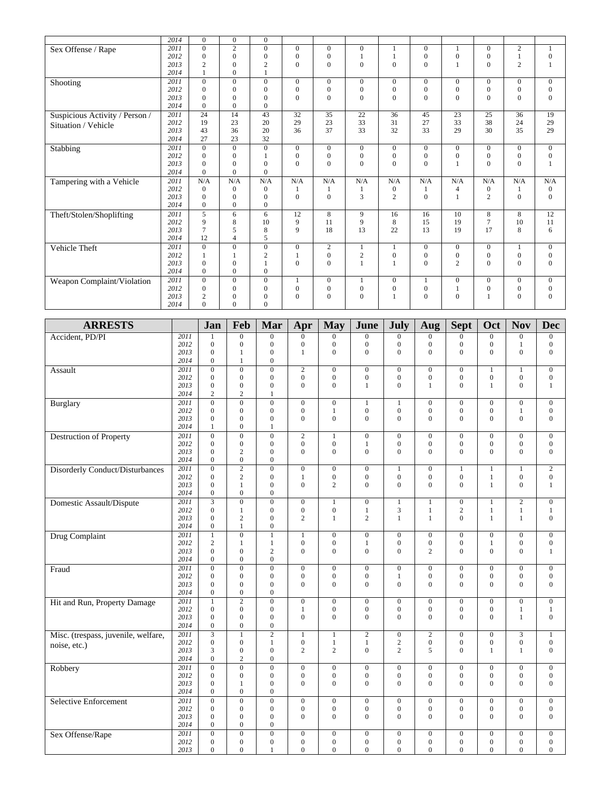|                                | 2014 | $\Omega$        | $\mathbf{0}$   | $\mathbf{0}$   |              |                |                  |                  |                |                |                  |                |                  |
|--------------------------------|------|-----------------|----------------|----------------|--------------|----------------|------------------|------------------|----------------|----------------|------------------|----------------|------------------|
| Sex Offense / Rape             | 2011 | $\Omega$        | 2              | $\theta$       | $\Omega$     | $\Omega$       | $\theta$         |                  | $\Omega$       | 1              | $\Omega$         | $\overline{2}$ | $\mathbf{1}$     |
|                                | 2012 | $\mathbf{0}$    | $\mathbf{0}$   | $\mathbf{0}$   | $\mathbf{0}$ | $\overline{0}$ | 1                |                  | $\mathbf{0}$   | $\overline{0}$ | $\boldsymbol{0}$ |                | $\boldsymbol{0}$ |
|                                | 2013 | $\overline{c}$  | $\theta$       | $\overline{2}$ | $\mathbf{0}$ | $\theta$       | $\mathbf{0}$     | $\overline{0}$   | $\overline{0}$ |                | $\overline{0}$   | $\overline{c}$ | $\mathbf{1}$     |
|                                | 2014 |                 | $\Omega$       | $\mathbf{1}$   |              |                |                  |                  |                |                |                  |                |                  |
| Shooting                       | 2011 | $\Omega$        | $\Omega$       | $\mathbf{0}$   | $\mathbf{0}$ | $\Omega$       | $\mathbf{0}$     | $\overline{0}$   | $\mathbf{0}$   | $\Omega$       | $\mathbf{0}$     | $\Omega$       | $\theta$         |
|                                | 2012 | $\Omega$        | $\Omega$       | $\theta$       | $\mathbf{0}$ | $\Omega$       | $\mathbf{0}$     | $\mathbf{0}$     | $\mathbf{0}$   | $\Omega$       | $\overline{0}$   | $\overline{0}$ | $\mathbf{0}$     |
|                                | 2013 | $\Omega$        | $\Omega$       | $\overline{0}$ | $\Omega$     | $\Omega$       | $\overline{0}$   | $\Omega$         | $\theta$       | $\theta$       | $\theta$         | $\overline{0}$ | $\mathbf{0}$     |
|                                | 2014 | $\Omega$        | $\Omega$       | $\Omega$       |              |                |                  |                  |                |                |                  |                |                  |
| Suspicious Activity / Person / | 2011 | $\overline{24}$ | 14             | 43             | 32           | 35             | 22               | 36               | 45             | 23             | 25               | 36             | 19               |
| Situation / Vehicle            | 2012 | 19              | 23             | 20             | 29           | 23             | 33               | 31               | 27             | 33             | 38               | 24             | 29               |
|                                | 2013 | 43              | 36             | 20             | 36           | 37             | 33               | 32               | 33             | 29             | 30               | 35             | 29               |
|                                | 2014 | 27              | 23             | 32             |              |                |                  |                  |                |                |                  |                |                  |
| Stabbing                       | 2011 | $\Omega$        | $\Omega$       | $\mathbf{0}$   | $\mathbf{0}$ | $\Omega$       | $\overline{0}$   | $\boldsymbol{0}$ | $\mathbf{0}$   | $\Omega$       | $\mathbf{0}$     | $\overline{0}$ | $\overline{0}$   |
|                                | 2012 | $\Omega$        | $\Omega$       |                | $\mathbf{0}$ | $\Omega$       | $\mathbf{0}$     | $\mathbf{0}$     | $\mathbf{0}$   | $\Omega$       | $\mathbf{0}$     | $\overline{0}$ | $\boldsymbol{0}$ |
|                                | 2013 | $\Omega$        | $\mathbf{0}$   | $\overline{0}$ | $\mathbf{0}$ | $\Omega$       | $\overline{0}$   | $\theta$         | $\theta$       |                | $\theta$         | $\overline{0}$ | $\mathbf{1}$     |
|                                | 2014 | $\Omega$        | $\Omega$       | $\theta$       |              |                |                  |                  |                |                |                  |                |                  |
| Tampering with a Vehicle       | 2011 | N/A             | N/A            | N/A            | N/A          | N/A            | N/A              | N/A              | N/A            | N/A            | N/A              | N/A            | N/A              |
|                                | 2012 | $\Omega$        | $\mathbf{0}$   | $\mathbf{0}$   | 1            | 1              | $\mathbf{1}$     | 0                | 1              | $\overline{4}$ | $\boldsymbol{0}$ |                | $\boldsymbol{0}$ |
|                                | 2013 | $\Omega$        | $\Omega$       | $\theta$       | $\mathbf{0}$ | $\Omega$       | 3                | $\overline{c}$   | $\mathbf{0}$   | $\mathbf{1}$   | $\overline{2}$   | $\overline{0}$ | $\overline{0}$   |
|                                | 2014 | $\overline{0}$  | $\mathbf{0}$   | $\overline{0}$ |              |                |                  |                  |                |                |                  |                |                  |
| Theft/Stolen/Shoplifting       | 2011 | 5               | 6              | 6              | 12           | 8              | 9                | 16               | 16             | 10             | 8                | 8              | 12               |
|                                | 2012 | 9               | 8              | 10             | 9            | 11             | 9                | 8                | 15             | 19             | $\overline{7}$   | 10             | 11               |
|                                | 2013 | 7               | 5              | 8              | 9            | 18             | 13               | 22               | 13             | 19             | 17               | 8              | 6                |
|                                | 2014 | 12              | $\overline{4}$ | 5              |              |                |                  |                  |                |                |                  |                |                  |
| Vehicle Theft                  | 2011 | $\Omega$        | $\mathbf{0}$   | $\overline{0}$ | $\mathbf{0}$ | $\mathbf{2}$   | 1                |                  | $\mathbf{0}$   | $\overline{0}$ | $\mathbf{0}$     |                | $\overline{0}$   |
|                                | 2012 |                 |                | $\overline{2}$ | 1            | $\mathbf{0}$   | $\mathbf{2}$     | $\boldsymbol{0}$ | $\mathbf{0}$   | $\mathbf{0}$   | $\boldsymbol{0}$ | $\overline{0}$ | $\boldsymbol{0}$ |
|                                | 2013 | $\Omega$        | $\Omega$       | $\mathbf{1}$   | $\mathbf{0}$ | $\Omega$       | $\mathbf{1}$     |                  | $\Omega$       | $\overline{2}$ | $\mathbf{0}$     | $\overline{0}$ | $\mathbf{0}$     |
|                                | 2014 | $\Omega$        | $\Omega$       | $\overline{0}$ |              |                |                  |                  |                |                |                  |                |                  |
| Weapon Complaint/Violation     | 2011 | $\overline{0}$  | $\mathbf{0}$   | $\mathbf{0}$   | 1            | $\mathbf{0}$   | 1                | $\boldsymbol{0}$ | 1              | $\mathbf{0}$   | $\mathbf{0}$     | $\overline{0}$ | $\overline{0}$   |
|                                | 2012 | $\Omega$        | $\Omega$       | $\mathbf{0}$   | $\mathbf{0}$ | $\mathbf{0}$   | $\boldsymbol{0}$ | $\mathbf{0}$     | $\mathbf{0}$   |                | $\boldsymbol{0}$ | $\overline{0}$ | $\boldsymbol{0}$ |
|                                | 2013 | $\overline{c}$  | $\Omega$       | $\theta$       | $\Omega$     | $\Omega$       | $\Omega$         | 1                | $\Omega$       | $\Omega$       | $\mathbf{1}$     | $\Omega$       | $\theta$         |
|                                | 2014 | $\Omega$        | $\Omega$       | $\Omega$       |              |                |                  |                  |                |                |                  |                |                  |

| <b>ARRESTS</b>                      |      | Jan                     | Feb              | Mar              | Apr              | <b>May</b>       | June             | <b>July</b>      | Aug              | <b>Sept</b>      | Oct              | <b>Nov</b>       | <b>Dec</b>       |
|-------------------------------------|------|-------------------------|------------------|------------------|------------------|------------------|------------------|------------------|------------------|------------------|------------------|------------------|------------------|
| Accident, PD/PI                     | 2011 | 1                       | $\boldsymbol{0}$ | $\mathbf{0}$     | $\Omega$         | $\mathbf{0}$     | $\mathbf{0}$     | $\mathbf{0}$     | $\mathbf{0}$     | $\overline{0}$   | $\overline{0}$   | $\mathbf{0}$     | $\boldsymbol{0}$ |
|                                     | 2012 | $\mathbf{0}$            | $\mathbf{0}$     | $\mathbf{0}$     | $\mathbf{0}$     | $\boldsymbol{0}$ | $\overline{0}$   | $\mathbf{0}$     | $\mathbf{0}$     | $\mathbf{0}$     | $\overline{0}$   | $\mathbf{1}$     | $\mathbf{0}$     |
|                                     | 2013 | $\overline{0}$          | $\mathbf{1}$     | $\mathbf{0}$     | $\mathbf{1}$     | $\overline{0}$   | $\overline{0}$   | $\Omega$         | $\theta$         | $\overline{0}$   | $\overline{0}$   | $\mathbf{0}$     | $\overline{0}$   |
|                                     | 2014 | $\overline{0}$          | $\mathbf{1}$     | $\overline{0}$   |                  |                  |                  |                  |                  |                  |                  |                  |                  |
| Assault                             | 2011 | $\overline{0}$          | $\overline{0}$   | $\overline{0}$   | $\overline{2}$   | $\overline{0}$   | $\overline{0}$   | $\overline{0}$   | $\overline{0}$   | $\overline{0}$   | $\overline{1}$   | $\overline{1}$   | $\overline{0}$   |
|                                     | 2012 | $\mathbf{0}$            | $\mathbf{0}$     | $\mathbf{0}$     | $\mathbf{0}$     | $\boldsymbol{0}$ | $\boldsymbol{0}$ | $\overline{0}$   | $\mathbf{0}$     | $\mathbf{0}$     | $\overline{0}$   | $\mathbf{0}$     | $\boldsymbol{0}$ |
|                                     | 2013 | $\overline{0}$          | $\boldsymbol{0}$ | $\boldsymbol{0}$ | $\mathbf{0}$     | $\overline{0}$   | $\mathbf{1}$     | $\mathbf{0}$     | 1                | $\overline{0}$   | $\mathbf{1}$     | $\mathbf{0}$     | $\mathbf{1}$     |
|                                     | 2014 | $\overline{c}$          | $\overline{c}$   | $\mathbf{1}$     |                  |                  |                  |                  |                  |                  |                  |                  |                  |
| Burglary                            | 2011 | $\overline{0}$          | $\overline{0}$   | $\overline{0}$   | $\mathbf{0}$     | $\mathbf{0}$     | $\mathbf{1}$     | 1                | $\mathbf{0}$     | $\mathbf{0}$     | $\Omega$         | $\mathbf{0}$     | $\mathbf{0}$     |
|                                     | 2012 | $\overline{0}$          | $\boldsymbol{0}$ | $\boldsymbol{0}$ | $\boldsymbol{0}$ | $\mathbf{1}$     | $\boldsymbol{0}$ | $\boldsymbol{0}$ | $\boldsymbol{0}$ | $\boldsymbol{0}$ | $\boldsymbol{0}$ | $\mathbf{1}$     | $\mathbf{0}$     |
|                                     | 2013 | $\theta$                | $\mathbf{0}$     | $\mathbf{0}$     | $\Omega$         | $\Omega$         | $\Omega$         | $\theta$         | $\Omega$         | $\Omega$         | $\Omega$         | $\mathbf{0}$     | $\mathbf{0}$     |
|                                     | 2014 | $\mathbf{1}$            | $\boldsymbol{0}$ | $\mathbf{1}$     |                  |                  |                  |                  |                  |                  |                  |                  |                  |
| <b>Destruction of Property</b>      | 2011 | $\mathbf{0}$            | $\overline{0}$   | $\mathbf{0}$     | $\overline{c}$   | $\mathbf{1}$     | $\overline{0}$   | $\mathbf{0}$     | $\mathbf{0}$     | $\mathbf{0}$     | $\overline{0}$   | $\mathbf{0}$     | $\mathbf{0}$     |
|                                     | 2012 | $\overline{0}$          | $\boldsymbol{0}$ | $\boldsymbol{0}$ | $\boldsymbol{0}$ | $\boldsymbol{0}$ | $\mathbf{1}$     | $\boldsymbol{0}$ | $\boldsymbol{0}$ | $\boldsymbol{0}$ | $\boldsymbol{0}$ | $\boldsymbol{0}$ | $\boldsymbol{0}$ |
|                                     | 2013 | $\overline{0}$          | $\overline{c}$   | $\mathbf{0}$     | $\Omega$         | $\mathbf{0}$     | $\overline{0}$   | $\Omega$         | $\theta$         | $\mathbf{0}$     | $\overline{0}$   | $\mathbf{0}$     | $\overline{0}$   |
|                                     | 2014 | $\overline{0}$          | $\boldsymbol{0}$ | $\mathbf{0}$     |                  |                  |                  |                  |                  |                  |                  |                  |                  |
| Disorderly Conduct/Disturbances     | 2011 | $\overline{0}$          | $\overline{2}$   | $\overline{0}$   | $\overline{0}$   | $\overline{0}$   | $\overline{0}$   | $\mathbf{1}$     | $\overline{0}$   | $\mathbf{1}$     | $\mathbf{1}$     | $\overline{1}$   | $\overline{2}$   |
|                                     | 2012 | $\theta$                | $\overline{c}$   | $\mathbf{0}$     | $\mathbf{1}$     | $\mathbf{0}$     | $\mathbf{0}$     | $\theta$         | $\mathbf{0}$     | $\mathbf{0}$     | $\mathbf{1}$     | $\mathbf{0}$     | $\mathbf{0}$     |
|                                     | 2013 | $\boldsymbol{0}$        | $\mathbf{1}$     | $\boldsymbol{0}$ | $\mathbf{0}$     | $\overline{c}$   | $\mathbf{0}$     | $\mathbf{0}$     | $\Omega$         | $\overline{0}$   | $\mathbf{1}$     | $\boldsymbol{0}$ | $\mathbf{1}$     |
|                                     | 2014 | $\overline{0}$          | $\mathbf{0}$     | $\mathbf{0}$     |                  |                  |                  |                  |                  |                  |                  |                  |                  |
| Domestic Assault/Dispute            | 2011 | $\overline{\mathbf{3}}$ | $\boldsymbol{0}$ | $\boldsymbol{0}$ | $\boldsymbol{0}$ | $\mathbf{1}$     | $\boldsymbol{0}$ | $\mathbf{1}$     | $\mathbf{1}$     | $\boldsymbol{0}$ | $\mathbf{1}$     | $\mathbf{2}$     | $\mathbf{0}$     |
|                                     | 2012 | $\overline{0}$          | $\mathbf{1}$     | $\mathbf{0}$     | $\mathbf{0}$     | $\boldsymbol{0}$ | $\mathbf{1}$     | $\overline{3}$   | $\mathbf{1}$     | $\overline{c}$   | $\mathbf{1}$     | $\mathbf{1}$     | $\mathbf{1}$     |
|                                     | 2013 | $\overline{0}$          | $\overline{c}$   | $\boldsymbol{0}$ | $\overline{c}$   | $\mathbf{1}$     | $\overline{c}$   | $\mathbf{1}$     | $\mathbf{1}$     | $\overline{0}$   | $\mathbf{1}$     | $\mathbf{1}$     | $\boldsymbol{0}$ |
|                                     | 2014 | $\overline{0}$          | $\mathbf{1}$     | $\boldsymbol{0}$ |                  |                  |                  |                  |                  |                  |                  |                  |                  |
| <b>Drug Complaint</b>               | 2011 | $\mathbf{1}$            | $\mathbf{0}$     | $\mathbf{1}$     | $\mathbf{1}$     | $\mathbf{0}$     | $\overline{0}$   | $\mathbf{0}$     | $\mathbf{0}$     | $\mathbf{0}$     | $\mathbf{0}$     | $\mathbf{0}$     | $\mathbf{0}$     |
|                                     | 2012 | $\overline{c}$          | $\mathbf{1}$     | $\mathbf{1}$     | $\boldsymbol{0}$ | $\boldsymbol{0}$ | $\mathbf{1}$     | $\boldsymbol{0}$ | $\boldsymbol{0}$ | $\boldsymbol{0}$ | $\mathbf{1}$     | $\boldsymbol{0}$ | $\mathbf{0}$     |
|                                     | 2013 | $\mathbf{0}$            | $\mathbf{0}$     | $\overline{2}$   | $\Omega$         | $\mathbf{0}$     | $\mathbf{0}$     | $\theta$         | $\overline{2}$   | $\Omega$         | $\Omega$         | $\mathbf{0}$     | 1                |
|                                     | 2014 | $\boldsymbol{0}$        | $\boldsymbol{0}$ | $\boldsymbol{0}$ |                  |                  |                  |                  |                  |                  |                  |                  |                  |
| Fraud                               | 2011 | $\overline{0}$          | $\overline{0}$   | $\overline{0}$   | $\overline{0}$   | $\overline{0}$   | $\overline{0}$   | $\overline{0}$   | $\overline{0}$   | $\overline{0}$   | $\overline{0}$   | $\overline{0}$   | $\overline{0}$   |
|                                     | 2012 | $\overline{0}$          | $\boldsymbol{0}$ | $\mathbf{0}$     | $\mathbf{0}$     | $\boldsymbol{0}$ | $\boldsymbol{0}$ | $\mathbf{1}$     | $\boldsymbol{0}$ | $\boldsymbol{0}$ | $\boldsymbol{0}$ | $\boldsymbol{0}$ | $\boldsymbol{0}$ |
|                                     | 2013 | $\overline{0}$          | $\mathbf{0}$     | $\mathbf{0}$     | $\mathbf{0}$     | $\overline{0}$   | $\overline{0}$   | $\mathbf{0}$     | $\Omega$         | $\overline{0}$   | $\overline{0}$   | $\mathbf{0}$     | $\mathbf{0}$     |
|                                     | 2014 | $\overline{0}$          | $\mathbf{0}$     | $\theta$         |                  |                  |                  |                  |                  |                  |                  |                  |                  |
| Hit and Run, Property Damage        | 2011 | $\mathbf{1}$            | $\overline{2}$   | $\overline{0}$   | $\overline{0}$   | $\overline{0}$   | $\overline{0}$   | $\overline{0}$   | $\overline{0}$   | $\overline{0}$   | $\overline{0}$   | $\overline{0}$   | $\overline{0}$   |
|                                     | 2012 | $\mathbf{0}$            | $\mathbf{0}$     | $\mathbf{0}$     | $\mathbf{1}$     | $\boldsymbol{0}$ | $\mathbf{0}$     | $\mathbf{0}$     | $\mathbf{0}$     | $\mathbf{0}$     | $\mathbf{0}$     | 1                | $\mathbf{1}$     |
|                                     | 2013 | $\overline{0}$          | $\mathbf{0}$     | $\overline{0}$   | $\theta$         | $\overline{0}$   | $\overline{0}$   | $\theta$         | $\Omega$         | $\Omega$         | $\Omega$         | $\mathbf{1}$     | $\mathbf{0}$     |
|                                     | 2014 | $\overline{0}$          | $\mathbf{0}$     | $\mathbf{0}$     |                  |                  |                  |                  |                  |                  |                  |                  |                  |
| Misc. (trespass, juvenile, welfare, | 2011 | $\overline{\mathbf{3}}$ | $\mathbf{1}$     | $\overline{2}$   | $\mathbf{1}$     | $\mathbf{1}$     | $\overline{2}$   | $\boldsymbol{0}$ | $\overline{2}$   | $\boldsymbol{0}$ | $\overline{0}$   | $\overline{3}$   | $\mathbf{1}$     |
| noise, etc.)                        | 2012 | $\mathbf{0}$            | $\boldsymbol{0}$ | $\mathbf{1}$     | $\boldsymbol{0}$ | $\mathbf{1}$     | $\mathbf{1}$     | $\sqrt{2}$       | $\boldsymbol{0}$ | $\boldsymbol{0}$ | $\boldsymbol{0}$ | $\boldsymbol{0}$ | $\mathbf{0}$     |
|                                     | 2013 | 3                       | $\mathbf{0}$     | $\Omega$         | $\overline{2}$   | $\overline{2}$   | $\overline{0}$   | $\overline{2}$   | $\mathfrak{F}$   | $\Omega$         | 1                | $\mathbf{1}$     | $\mathbf{0}$     |
|                                     | 2014 | $\overline{0}$          | $\overline{c}$   | $\mathbf{0}$     |                  |                  |                  |                  |                  |                  |                  |                  |                  |
| Robbery                             | 2011 | $\overline{0}$          | $\overline{0}$   | $\overline{0}$   | $\mathbf{0}$     | $\overline{0}$   | $\overline{0}$   | $\mathbf{0}$     | $\overline{0}$   | $\overline{0}$   | $\mathbf{0}$     | $\overline{0}$   | $\overline{0}$   |
|                                     | 2012 | $\overline{0}$          | $\mathbf{0}$     | $\overline{0}$   | $\mathbf{0}$     | $\boldsymbol{0}$ | $\boldsymbol{0}$ | $\mathbf{0}$     | $\mathbf{0}$     | $\boldsymbol{0}$ | $\overline{0}$   | $\boldsymbol{0}$ | $\mathbf{0}$     |
|                                     | 2013 | $\mathbf{0}$            | 1                | $\mathbf{0}$     | $\mathbf{0}$     | $\mathbf{0}$     | $\overline{0}$   | $\mathbf{0}$     | $\Omega$         | $\Omega$         | $\mathbf{0}$     | $\mathbf{0}$     | $\mathbf{0}$     |
|                                     | 2014 | $\boldsymbol{0}$        | $\boldsymbol{0}$ | $\boldsymbol{0}$ |                  |                  |                  |                  |                  |                  |                  |                  |                  |
| Selective Enforcement               | 2011 | $\overline{0}$          | $\overline{0}$   | $\overline{0}$   | $\overline{0}$   | $\overline{0}$   | $\overline{0}$   | $\mathbf{0}$     | $\overline{0}$   | $\overline{0}$   | $\overline{0}$   | $\overline{0}$   | $\overline{0}$   |
|                                     | 2012 | $\overline{0}$          | $\mathbf{0}$     | $\mathbf{0}$     | $\mathbf{0}$     | $\mathbf{0}$     | $\overline{0}$   | $\overline{0}$   | $\mathbf{0}$     | $\mathbf{0}$     | $\mathbf{0}$     | $\mathbf{0}$     | $\mathbf{0}$     |
|                                     | 2013 | $\overline{0}$          | $\mathbf{0}$     | $\mathbf{0}$     | $\Omega$         | $\overline{0}$   | $\mathbf{0}$     | $\Omega$         | $\Omega$         | $\Omega$         | $\overline{0}$   | $\mathbf{0}$     | $\mathbf{0}$     |
|                                     | 2014 | $\overline{0}$          | $\mathbf{0}$     | $\mathbf{0}$     |                  |                  |                  |                  |                  |                  |                  |                  |                  |
| Sex Offense/Rape                    | 2011 | $\overline{0}$          | $\overline{0}$   | $\overline{0}$   | $\mathbf{0}$     | $\overline{0}$   | $\overline{0}$   | $\mathbf{0}$     | $\overline{0}$   | $\boldsymbol{0}$ | $\boldsymbol{0}$ | $\boldsymbol{0}$ | $\overline{0}$   |
|                                     | 2012 | $\mathbf{0}$            | $\mathbf{0}$     | $\mathbf{0}$     | $\mathbf{0}$     | $\mathbf{0}$     | $\overline{0}$   | $\mathbf{0}$     | $\mathbf{0}$     | $\boldsymbol{0}$ | $\mathbf{0}$     | $\mathbf{0}$     | $\mathbf{0}$     |
|                                     | 2013 | $\overline{0}$          | $\mathbf{0}$     | $\mathbf{1}$     | $\mathbf{0}$     | $\mathbf{0}$     | $\mathbf{0}$     | $\Omega$         | $\mathbf{0}$     | $\mathbf{0}$     | $\overline{0}$   | $\mathbf{0}$     | $\mathbf{0}$     |